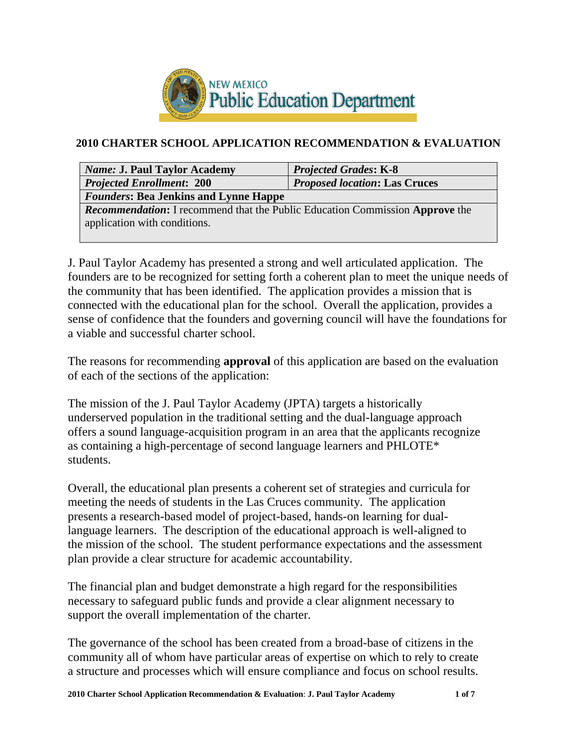

# **2010 CHARTER SCHOOL APPLICATION RECOMMENDATION & EVALUATION**

| <b>Name: J. Paul Taylor Academy</b>                                                                                 | <b>Projected Grades: K-8</b>         |  |  |
|---------------------------------------------------------------------------------------------------------------------|--------------------------------------|--|--|
| <b>Projected Enrollment: 200</b>                                                                                    | <b>Proposed location: Las Cruces</b> |  |  |
| <b>Founders: Bea Jenkins and Lynne Happe</b>                                                                        |                                      |  |  |
| <b>Recommendation:</b> I recommend that the Public Education Commission Approve the<br>application with conditions. |                                      |  |  |

J. Paul Taylor Academy has presented a strong and well articulated application. The founders are to be recognized for setting forth a coherent plan to meet the unique needs of the community that has been identified. The application provides a mission that is connected with the educational plan for the school. Overall the application, provides a sense of confidence that the founders and governing council will have the foundations for a viable and successful charter school.

The reasons for recommending **approval** of this application are based on the evaluation of each of the sections of the application:

The mission of the J. Paul Taylor Academy (JPTA) targets a historically underserved population in the traditional setting and the dual-language approach offers a sound language-acquisition program in an area that the applicants recognize as containing a high-percentage of second language learners and PHLOTE\* students.

Overall, the educational plan presents a coherent set of strategies and curricula for meeting the needs of students in the Las Cruces community. The application presents a research-based model of project-based, hands-on learning for duallanguage learners. The description of the educational approach is well-aligned to the mission of the school. The student performance expectations and the assessment plan provide a clear structure for academic accountability.

The financial plan and budget demonstrate a high regard for the responsibilities necessary to safeguard public funds and provide a clear alignment necessary to support the overall implementation of the charter.

The governance of the school has been created from a broad-base of citizens in the community all of whom have particular areas of expertise on which to rely to create a structure and processes which will ensure compliance and focus on school results.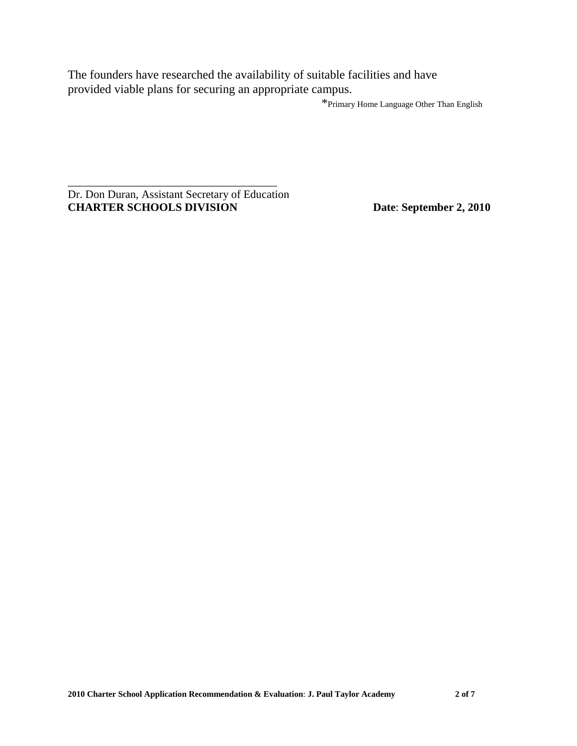The founders have researched the availability of suitable facilities and have provided viable plans for securing an appropriate campus.

\*Primary Home Language Other Than English

Dr. Don Duran, Assistant Secretary of Education **CHARTER SCHOOLS DIVISION Date**: **September 2, 2010**

\_\_\_\_\_\_\_\_\_\_\_\_\_\_\_\_\_\_\_\_\_\_\_\_\_\_\_\_\_\_\_\_\_\_\_\_\_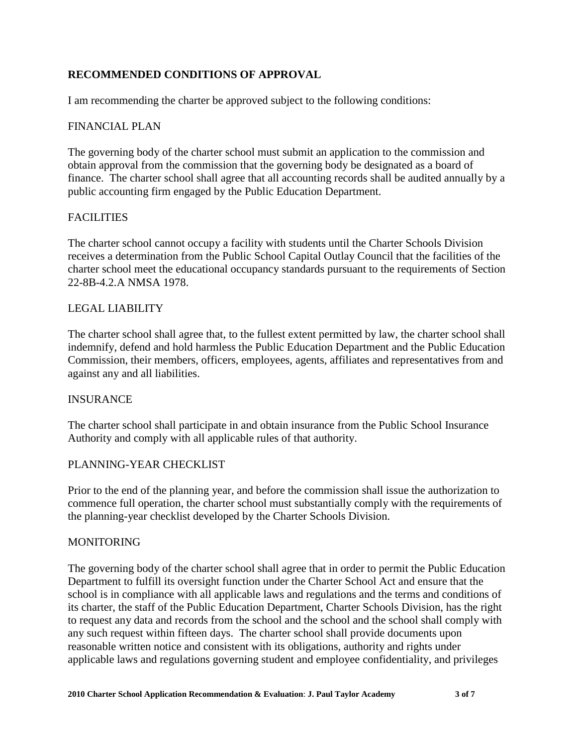## **RECOMMENDED CONDITIONS OF APPROVAL**

I am recommending the charter be approved subject to the following conditions:

### FINANCIAL PLAN

The governing body of the charter school must submit an application to the commission and obtain approval from the commission that the governing body be designated as a board of finance. The charter school shall agree that all accounting records shall be audited annually by a public accounting firm engaged by the Public Education Department.

### **FACILITIES**

The charter school cannot occupy a facility with students until the Charter Schools Division receives a determination from the Public School Capital Outlay Council that the facilities of the charter school meet the educational occupancy standards pursuant to the requirements of Section 22-8B-4.2.A NMSA 1978.

#### LEGAL LIABILITY

The charter school shall agree that, to the fullest extent permitted by law, the charter school shall indemnify, defend and hold harmless the Public Education Department and the Public Education Commission, their members, officers, employees, agents, affiliates and representatives from and against any and all liabilities.

#### INSURANCE

The charter school shall participate in and obtain insurance from the Public School Insurance Authority and comply with all applicable rules of that authority.

#### PLANNING-YEAR CHECKLIST

Prior to the end of the planning year, and before the commission shall issue the authorization to commence full operation, the charter school must substantially comply with the requirements of the planning-year checklist developed by the Charter Schools Division.

#### MONITORING

The governing body of the charter school shall agree that in order to permit the Public Education Department to fulfill its oversight function under the Charter School Act and ensure that the school is in compliance with all applicable laws and regulations and the terms and conditions of its charter, the staff of the Public Education Department, Charter Schools Division, has the right to request any data and records from the school and the school and the school shall comply with any such request within fifteen days. The charter school shall provide documents upon reasonable written notice and consistent with its obligations, authority and rights under applicable laws and regulations governing student and employee confidentiality, and privileges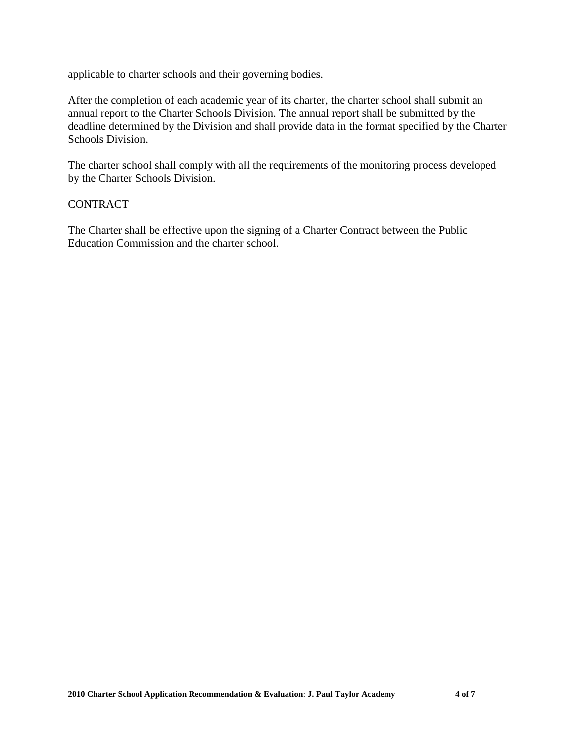applicable to charter schools and their governing bodies.

After the completion of each academic year of its charter, the charter school shall submit an annual report to the Charter Schools Division. The annual report shall be submitted by the deadline determined by the Division and shall provide data in the format specified by the Charter Schools Division.

The charter school shall comply with all the requirements of the monitoring process developed by the Charter Schools Division.

### CONTRACT

The Charter shall be effective upon the signing of a Charter Contract between the Public Education Commission and the charter school.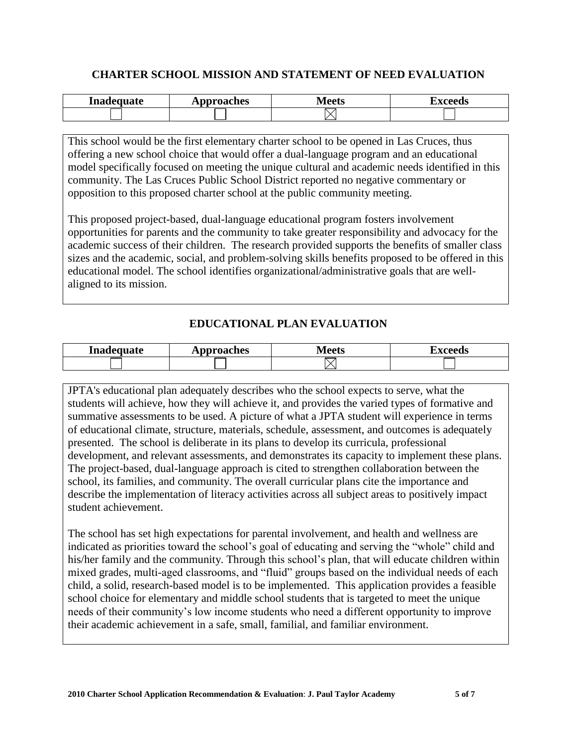## **CHARTER SCHOOL MISSION AND STATEMENT OF NEED EVALUATION**

| Inadequate<br> | oproaches<br>4 X I | $\sqrt{2}$<br>rw<br>. . | <b>**^^^^</b> |
|----------------|--------------------|-------------------------|---------------|
|                |                    |                         |               |

This school would be the first elementary charter school to be opened in Las Cruces, thus offering a new school choice that would offer a dual-language program and an educational model specifically focused on meeting the unique cultural and academic needs identified in this community. The Las Cruces Public School District reported no negative commentary or opposition to this proposed charter school at the public community meeting.

This proposed project-based, dual-language educational program fosters involvement opportunities for parents and the community to take greater responsibility and advocacy for the academic success of their children. The research provided supports the benefits of smaller class sizes and the academic, social, and problem-solving skills benefits proposed to be offered in this educational model. The school identifies organizational/administrative goals that are wellaligned to its mission.

## **EDUCATIONAL PLAN EVALUATION**

| Inadequate | <b>pproaches</b> | ⁄l ∩∩tc<br>viccus | H'VANANC<br>20 M |
|------------|------------------|-------------------|------------------|
|            |                  |                   |                  |

JPTA's educational plan adequately describes who the school expects to serve, what the students will achieve, how they will achieve it, and provides the varied types of formative and summative assessments to be used. A picture of what a JPTA student will experience in terms of educational climate, structure, materials, schedule, assessment, and outcomes is adequately presented. The school is deliberate in its plans to develop its curricula, professional development, and relevant assessments, and demonstrates its capacity to implement these plans. The project-based, dual-language approach is cited to strengthen collaboration between the school, its families, and community. The overall curricular plans cite the importance and describe the implementation of literacy activities across all subject areas to positively impact student achievement.

The school has set high expectations for parental involvement, and health and wellness are indicated as priorities toward the school's goal of educating and serving the "whole" child and his/her family and the community. Through this school's plan, that will educate children within mixed grades, multi-aged classrooms, and "fluid" groups based on the individual needs of each child, a solid, research-based model is to be implemented. This application provides a feasible school choice for elementary and middle school students that is targeted to meet the unique needs of their community's low income students who need a different opportunity to improve their academic achievement in a safe, small, familial, and familiar environment.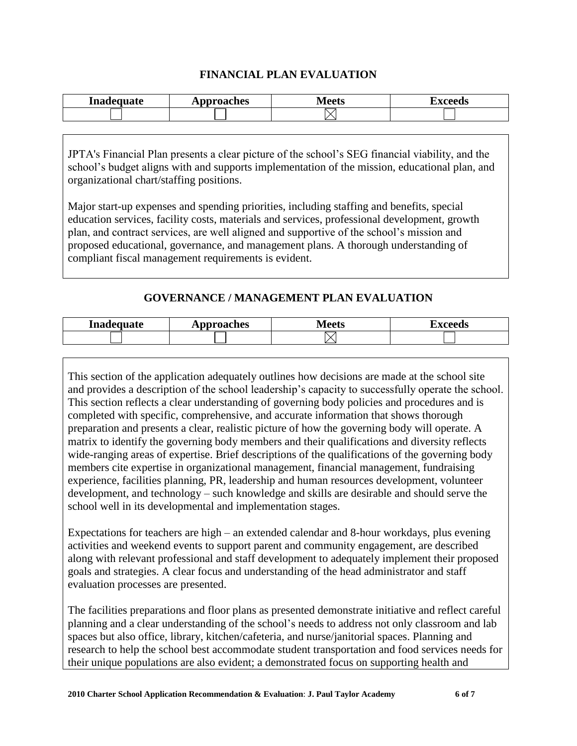### **FINANCIAL PLAN EVALUATION**

| Inadequate | pproaches | $M$ oot $\sim$ | `VAAAda |
|------------|-----------|----------------|---------|
|            | 4 A N     | <b>IVILLES</b> | - U.S   |
|            |           |                |         |

JPTA's Financial Plan presents a clear picture of the school's SEG financial viability, and the school's budget aligns with and supports implementation of the mission, educational plan, and organizational chart/staffing positions.

Major start-up expenses and spending priorities, including staffing and benefits, special education services, facility costs, materials and services, professional development, growth plan, and contract services, are well aligned and supportive of the school's mission and proposed educational, governance, and management plans. A thorough understanding of compliant fiscal management requirements is evident.

# **GOVERNANCE / MANAGEMENT PLAN EVALUATION**

| Inadequate | Approaches | Maatc<br>LVILLLIS | `YAAAda |
|------------|------------|-------------------|---------|
|            |            |                   |         |

This section of the application adequately outlines how decisions are made at the school site and provides a description of the school leadership's capacity to successfully operate the school. This section reflects a clear understanding of governing body policies and procedures and is completed with specific, comprehensive, and accurate information that shows thorough preparation and presents a clear, realistic picture of how the governing body will operate. A matrix to identify the governing body members and their qualifications and diversity reflects wide-ranging areas of expertise. Brief descriptions of the qualifications of the governing body members cite expertise in organizational management, financial management, fundraising experience, facilities planning, PR, leadership and human resources development, volunteer development, and technology – such knowledge and skills are desirable and should serve the school well in its developmental and implementation stages.

Expectations for teachers are high – an extended calendar and 8-hour workdays, plus evening activities and weekend events to support parent and community engagement, are described along with relevant professional and staff development to adequately implement their proposed goals and strategies. A clear focus and understanding of the head administrator and staff evaluation processes are presented.

The facilities preparations and floor plans as presented demonstrate initiative and reflect careful planning and a clear understanding of the school's needs to address not only classroom and lab spaces but also office, library, kitchen/cafeteria, and nurse/janitorial spaces. Planning and research to help the school best accommodate student transportation and food services needs for their unique populations are also evident; a demonstrated focus on supporting health and